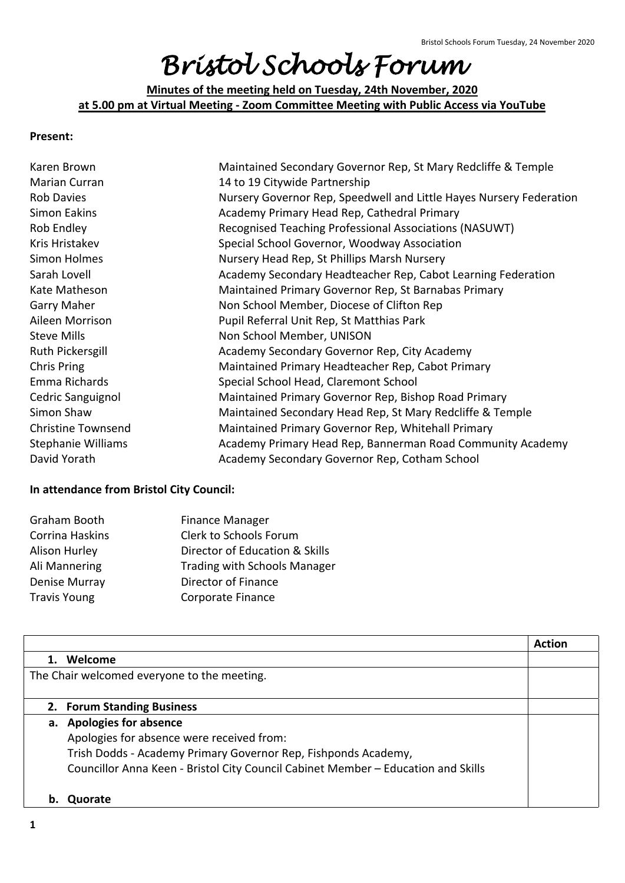## *Bristol Schools Forum*

**Minutes of the meeting held on Tuesday, 24th November, 2020 at 5.00 pm at Virtual Meeting - Zoom Committee Meeting with Public Access via YouTube**

## **Present:**

| Karen Brown               | Maintained Secondary Governor Rep, St Mary Redcliffe & Temple       |
|---------------------------|---------------------------------------------------------------------|
| Marian Curran             | 14 to 19 Citywide Partnership                                       |
| <b>Rob Davies</b>         | Nursery Governor Rep, Speedwell and Little Hayes Nursery Federation |
| <b>Simon Eakins</b>       | Academy Primary Head Rep, Cathedral Primary                         |
| Rob Endley                | Recognised Teaching Professional Associations (NASUWT)              |
| Kris Hristakev            | Special School Governor, Woodway Association                        |
| Simon Holmes              | Nursery Head Rep, St Phillips Marsh Nursery                         |
| Sarah Lovell              | Academy Secondary Headteacher Rep, Cabot Learning Federation        |
| Kate Matheson             | Maintained Primary Governor Rep, St Barnabas Primary                |
| <b>Garry Maher</b>        | Non School Member, Diocese of Clifton Rep                           |
| Aileen Morrison           | Pupil Referral Unit Rep, St Matthias Park                           |
| <b>Steve Mills</b>        | Non School Member, UNISON                                           |
| Ruth Pickersgill          | Academy Secondary Governor Rep, City Academy                        |
| Chris Pring               | Maintained Primary Headteacher Rep, Cabot Primary                   |
| Emma Richards             | Special School Head, Claremont School                               |
| Cedric Sanguignol         | Maintained Primary Governor Rep, Bishop Road Primary                |
| Simon Shaw                | Maintained Secondary Head Rep, St Mary Redcliffe & Temple           |
| <b>Christine Townsend</b> | Maintained Primary Governor Rep, Whitehall Primary                  |
| <b>Stephanie Williams</b> | Academy Primary Head Rep, Bannerman Road Community Academy          |
| David Yorath              | Academy Secondary Governor Rep, Cotham School                       |

## **In attendance from Bristol City Council:**

| Graham Booth         | <b>Finance Manager</b>              |
|----------------------|-------------------------------------|
| Corrina Haskins      | Clerk to Schools Forum              |
| <b>Alison Hurley</b> | Director of Education & Skills      |
| Ali Mannering        | <b>Trading with Schools Manager</b> |
| Denise Murray        | Director of Finance                 |
| <b>Travis Young</b>  | Corporate Finance                   |

|                                             |                                                                                   | <b>Action</b> |
|---------------------------------------------|-----------------------------------------------------------------------------------|---------------|
|                                             | Welcome                                                                           |               |
| The Chair welcomed everyone to the meeting. |                                                                                   |               |
|                                             |                                                                                   |               |
|                                             | 2. Forum Standing Business                                                        |               |
|                                             | a. Apologies for absence                                                          |               |
|                                             | Apologies for absence were received from:                                         |               |
|                                             | Trish Dodds - Academy Primary Governor Rep, Fishponds Academy,                    |               |
|                                             | Councillor Anna Keen - Bristol City Council Cabinet Member - Education and Skills |               |
|                                             |                                                                                   |               |
|                                             | Quorate                                                                           |               |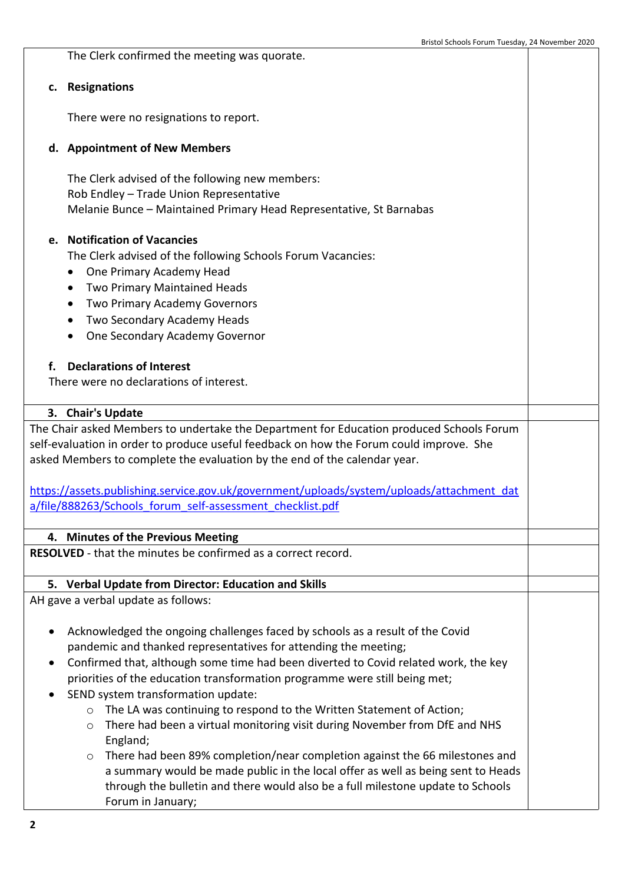The Clerk confirmed the meeting was quorate. **c. Resignations** There were no resignations to report. **d. Appointment of New Members** The Clerk advised of the following new members: Rob Endley – Trade Union Representative Melanie Bunce – Maintained Primary Head Representative, St Barnabas **e. Notification of Vacancies** The Clerk advised of the following Schools Forum Vacancies: One Primary Academy Head Two Primary Maintained Heads Two Primary Academy Governors Two Secondary Academy Heads One Secondary Academy Governor **f. Declarations of Interest** There were no declarations of interest. **3. Chair's Update** The Chair asked Members to undertake the Department for Education produced Schools Forum self-evaluation in order to produce useful feedback on how the Forum could improve. She asked Members to complete the evaluation by the end of the calendar year. [https://assets.publishing.service.gov.uk/government/uploads/system/uploads/attachment\\_dat](https://assets.publishing.service.gov.uk/government/uploads/system/uploads/attachment_data/file/888263/Schools_forum_self-assessment_checklist.pdf) [a/file/888263/Schools\\_forum\\_self-assessment\\_checklist.pdf](https://assets.publishing.service.gov.uk/government/uploads/system/uploads/attachment_data/file/888263/Schools_forum_self-assessment_checklist.pdf) **4. Minutes of the Previous Meeting RESOLVED** - that the minutes be confirmed as a correct record. **5. Verbal Update from Director: Education and Skills** AH gave a verbal update as follows: Acknowledged the ongoing challenges faced by schools as a result of the Covid pandemic and thanked representatives for attending the meeting; Confirmed that, although some time had been diverted to Covid related work, the key priorities of the education transformation programme were still being met; • SEND system transformation update: o The LA was continuing to respond to the Written Statement of Action; o There had been a virtual monitoring visit during November from DfE and NHS England;  $\circ$  There had been 89% completion/near completion against the 66 milestones and a summary would be made public in the local offer as well as being sent to Heads through the bulletin and there would also be a full milestone update to Schools

Forum in January;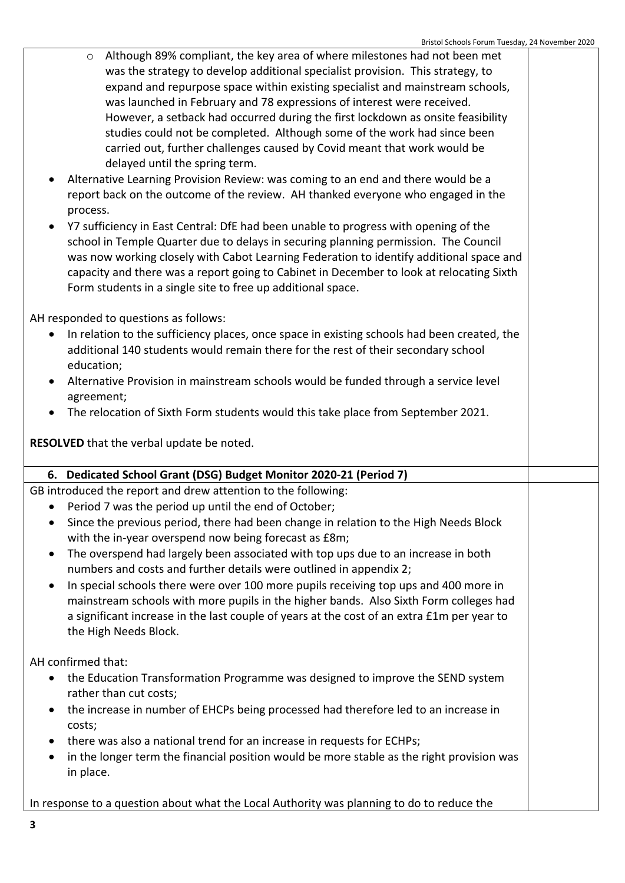- $\circ$  Although 89% compliant, the key area of where milestones had not been met was the strategy to develop additional specialist provision. This strategy, to expand and repurpose space within existing specialist and mainstream schools, was launched in February and 78 expressions of interest were received. However, a setback had occurred during the first lockdown as onsite feasibility studies could not be completed. Although some of the work had since been carried out, further challenges caused by Covid meant that work would be delayed until the spring term.
- Alternative Learning Provision Review: was coming to an end and there would be a report back on the outcome of the review. AH thanked everyone who engaged in the process.
- Y7 sufficiency in East Central: DfE had been unable to progress with opening of the school in Temple Quarter due to delays in securing planning permission. The Council was now working closely with Cabot Learning Federation to identify additional space and capacity and there was a report going to Cabinet in December to look at relocating Sixth Form students in a single site to free up additional space.

AH responded to questions as follows:

- In relation to the sufficiency places, once space in existing schools had been created, the additional 140 students would remain there for the rest of their secondary school education;
- Alternative Provision in mainstream schools would be funded through a service level agreement;
- The relocation of Sixth Form students would this take place from September 2021.

**RESOLVED** that the verbal update be noted.

## **6. Dedicated School Grant (DSG) Budget Monitor 2020-21 (Period 7)**

GB introduced the report and drew attention to the following:

- Period 7 was the period up until the end of October;
- Since the previous period, there had been change in relation to the High Needs Block with the in-year overspend now being forecast as £8m;
- The overspend had largely been associated with top ups due to an increase in both numbers and costs and further details were outlined in appendix 2;
- In special schools there were over 100 more pupils receiving top ups and 400 more in mainstream schools with more pupils in the higher bands. Also Sixth Form colleges had a significant increase in the last couple of years at the cost of an extra £1m per year to the High Needs Block.

AH confirmed that:

- the Education Transformation Programme was designed to improve the SEND system rather than cut costs;
- the increase in number of EHCPs being processed had therefore led to an increase in costs;
- there was also a national trend for an increase in requests for ECHPs;
- in the longer term the financial position would be more stable as the right provision was in place.

In response to a question about what the Local Authority was planning to do to reduce the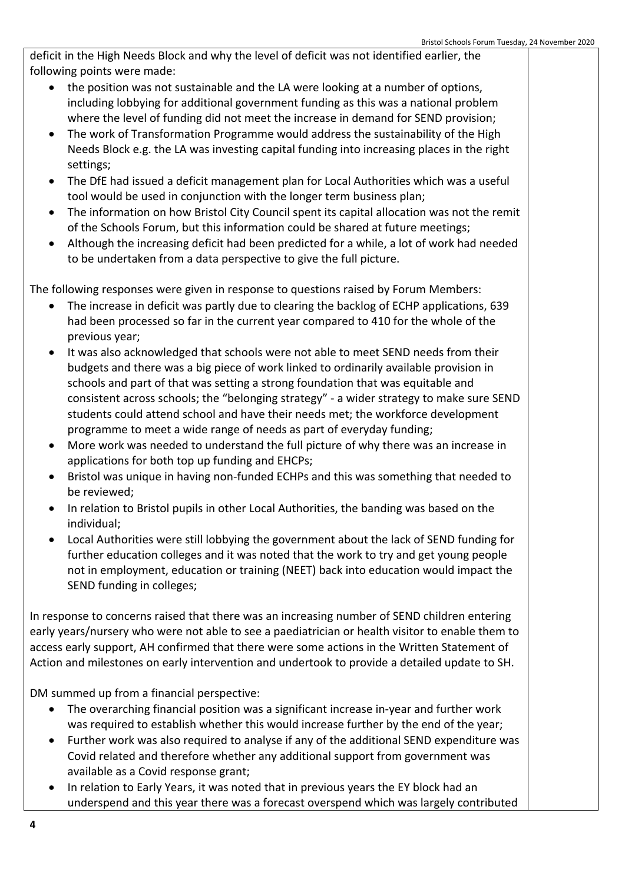deficit in the High Needs Block and why the level of deficit was not identified earlier, the following points were made:

- the position was not sustainable and the LA were looking at a number of options, including lobbying for additional government funding as this was a national problem where the level of funding did not meet the increase in demand for SEND provision;
- The work of Transformation Programme would address the sustainability of the High Needs Block e.g. the LA was investing capital funding into increasing places in the right settings;
- The DfE had issued a deficit management plan for Local Authorities which was a useful tool would be used in conjunction with the longer term business plan;
- The information on how Bristol City Council spent its capital allocation was not the remit of the Schools Forum, but this information could be shared at future meetings;
- Although the increasing deficit had been predicted for a while, a lot of work had needed to be undertaken from a data perspective to give the full picture.

The following responses were given in response to questions raised by Forum Members:

- The increase in deficit was partly due to clearing the backlog of ECHP applications, 639 had been processed so far in the current year compared to 410 for the whole of the previous year;
- It was also acknowledged that schools were not able to meet SEND needs from their budgets and there was a big piece of work linked to ordinarily available provision in schools and part of that was setting a strong foundation that was equitable and consistent across schools; the "belonging strategy" - a wider strategy to make sure SEND students could attend school and have their needs met; the workforce development programme to meet a wide range of needs as part of everyday funding;
- More work was needed to understand the full picture of why there was an increase in applications for both top up funding and EHCPs;
- Bristol was unique in having non-funded ECHPs and this was something that needed to be reviewed;
- In relation to Bristol pupils in other Local Authorities, the banding was based on the individual;
- Local Authorities were still lobbying the government about the lack of SEND funding for further education colleges and it was noted that the work to try and get young people not in employment, education or training (NEET) back into education would impact the SEND funding in colleges;

In response to concerns raised that there was an increasing number of SEND children entering early years/nursery who were not able to see a paediatrician or health visitor to enable them to access early support, AH confirmed that there were some actions in the Written Statement of Action and milestones on early intervention and undertook to provide a detailed update to SH.

DM summed up from a financial perspective:

- The overarching financial position was a significant increase in-year and further work was required to establish whether this would increase further by the end of the year;
- Further work was also required to analyse if any of the additional SEND expenditure was Covid related and therefore whether any additional support from government was available as a Covid response grant;
- In relation to Early Years, it was noted that in previous years the EY block had an underspend and this year there was a forecast overspend which was largely contributed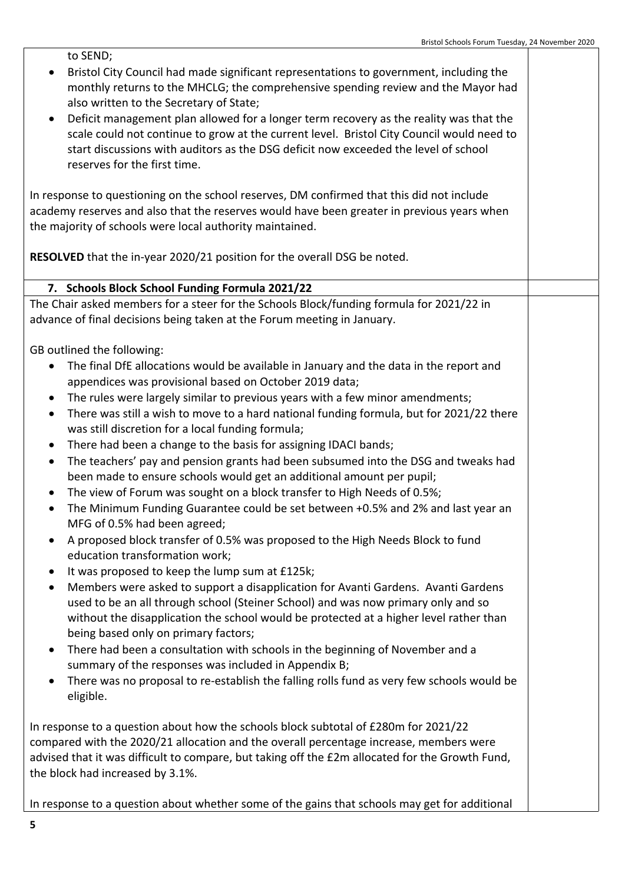to SEND; • Bristol City Council had made significant representations to government, including the monthly returns to the MHCLG; the comprehensive spending review and the Mayor had also written to the Secretary of State; Deficit management plan allowed for a longer term recovery as the reality was that the scale could not continue to grow at the current level. Bristol City Council would need to start discussions with auditors as the DSG deficit now exceeded the level of school reserves for the first time. In response to questioning on the school reserves, DM confirmed that this did not include academy reserves and also that the reserves would have been greater in previous years when the majority of schools were local authority maintained. **RESOLVED** that the in-year 2020/21 position for the overall DSG be noted. **7. Schools Block School Funding Formula 2021/22** The Chair asked members for a steer for the Schools Block/funding formula for 2021/22 in advance of final decisions being taken at the Forum meeting in January. GB outlined the following: The final DfE allocations would be available in January and the data in the report and appendices was provisional based on October 2019 data; • The rules were largely similar to previous years with a few minor amendments; There was still a wish to move to a hard national funding formula, but for 2021/22 there was still discretion for a local funding formula; • There had been a change to the basis for assigning IDACI bands; The teachers' pay and pension grants had been subsumed into the DSG and tweaks had been made to ensure schools would get an additional amount per pupil; • The view of Forum was sought on a block transfer to High Needs of 0.5%; The Minimum Funding Guarantee could be set between +0.5% and 2% and last year an MFG of 0.5% had been agreed; A proposed block transfer of 0.5% was proposed to the High Needs Block to fund education transformation work; It was proposed to keep the lump sum at £125k; Members were asked to support a disapplication for Avanti Gardens. Avanti Gardens used to be an all through school (Steiner School) and was now primary only and so without the disapplication the school would be protected at a higher level rather than being based only on primary factors; There had been a consultation with schools in the beginning of November and a summary of the responses was included in Appendix B; There was no proposal to re-establish the falling rolls fund as very few schools would be eligible. In response to a question about how the schools block subtotal of £280m for 2021/22 compared with the 2020/21 allocation and the overall percentage increase, members were advised that it was difficult to compare, but taking off the £2m allocated for the Growth Fund, the block had increased by 3.1%.

In response to a question about whether some of the gains that schools may get for additional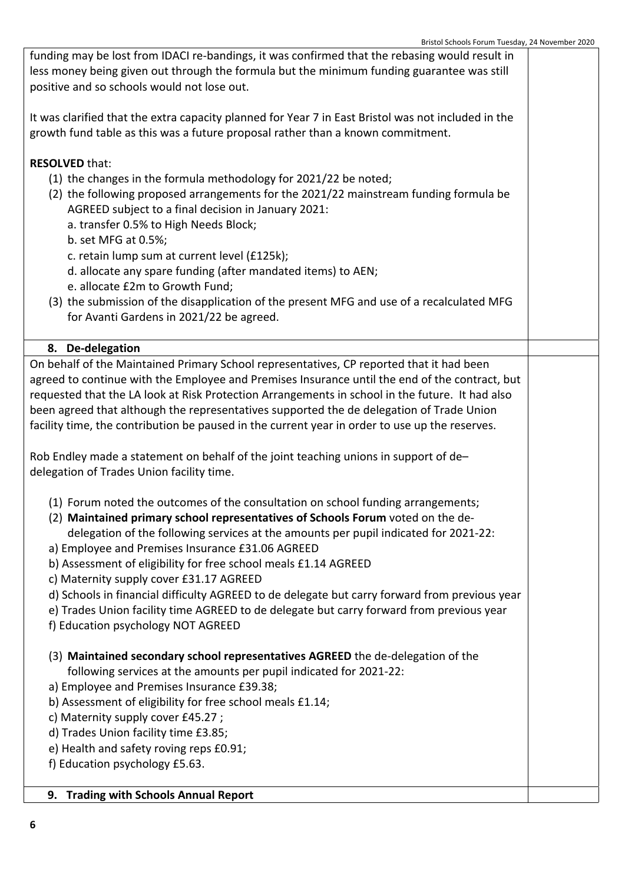| funding may be lost from IDACI re-bandings, it was confirmed that the rebasing would result in                                        |  |  |
|---------------------------------------------------------------------------------------------------------------------------------------|--|--|
| less money being given out through the formula but the minimum funding guarantee was still                                            |  |  |
| positive and so schools would not lose out.                                                                                           |  |  |
|                                                                                                                                       |  |  |
| It was clarified that the extra capacity planned for Year 7 in East Bristol was not included in the                                   |  |  |
| growth fund table as this was a future proposal rather than a known commitment.                                                       |  |  |
|                                                                                                                                       |  |  |
| <b>RESOLVED that:</b>                                                                                                                 |  |  |
| (1) the changes in the formula methodology for 2021/22 be noted;                                                                      |  |  |
| (2) the following proposed arrangements for the 2021/22 mainstream funding formula be                                                 |  |  |
| AGREED subject to a final decision in January 2021:                                                                                   |  |  |
| a. transfer 0.5% to High Needs Block;                                                                                                 |  |  |
| b. set MFG at 0.5%;                                                                                                                   |  |  |
| c. retain lump sum at current level (£125k);                                                                                          |  |  |
| d. allocate any spare funding (after mandated items) to AEN;                                                                          |  |  |
| e. allocate £2m to Growth Fund;                                                                                                       |  |  |
| (3) the submission of the disapplication of the present MFG and use of a recalculated MFG<br>for Avanti Gardens in 2021/22 be agreed. |  |  |
|                                                                                                                                       |  |  |
| 8. De-delegation                                                                                                                      |  |  |
| On behalf of the Maintained Primary School representatives, CP reported that it had been                                              |  |  |
| agreed to continue with the Employee and Premises Insurance until the end of the contract, but                                        |  |  |
| requested that the LA look at Risk Protection Arrangements in school in the future. It had also                                       |  |  |
| been agreed that although the representatives supported the de delegation of Trade Union                                              |  |  |
| facility time, the contribution be paused in the current year in order to use up the reserves.                                        |  |  |
|                                                                                                                                       |  |  |
| Rob Endley made a statement on behalf of the joint teaching unions in support of de-                                                  |  |  |
| delegation of Trades Union facility time.                                                                                             |  |  |
| (1) Forum noted the outcomes of the consultation on school funding arrangements;                                                      |  |  |
| (2) Maintained primary school representatives of Schools Forum voted on the de-                                                       |  |  |
| delegation of the following services at the amounts per pupil indicated for 2021-22:                                                  |  |  |
| a) Employee and Premises Insurance £31.06 AGREED                                                                                      |  |  |
| b) Assessment of eligibility for free school meals £1.14 AGREED                                                                       |  |  |
| c) Maternity supply cover £31.17 AGREED                                                                                               |  |  |
| d) Schools in financial difficulty AGREED to de delegate but carry forward from previous year                                         |  |  |
| e) Trades Union facility time AGREED to de delegate but carry forward from previous year                                              |  |  |
| f) Education psychology NOT AGREED                                                                                                    |  |  |
|                                                                                                                                       |  |  |
| (3) Maintained secondary school representatives AGREED the de-delegation of the                                                       |  |  |
| following services at the amounts per pupil indicated for 2021-22:                                                                    |  |  |
| a) Employee and Premises Insurance £39.38;                                                                                            |  |  |
| b) Assessment of eligibility for free school meals £1.14;                                                                             |  |  |
| c) Maternity supply cover £45.27;                                                                                                     |  |  |
| d) Trades Union facility time £3.85;                                                                                                  |  |  |
| e) Health and safety roving reps £0.91;                                                                                               |  |  |
| f) Education psychology £5.63.                                                                                                        |  |  |
| 9. Trading with Schools Annual Report                                                                                                 |  |  |
|                                                                                                                                       |  |  |